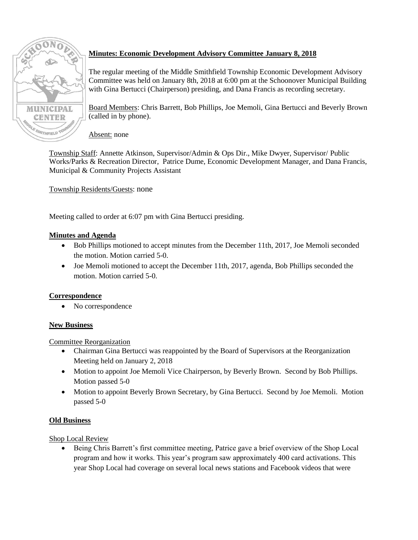

# **Minutes: Economic Development Advisory Committee January 8, 2018**

The regular meeting of the Middle Smithfield Township Economic Development Advisory Committee was held on January 8th, 2018 at 6:00 pm at the Schoonover Municipal Building with Gina Bertucci (Chairperson) presiding, and Dana Francis as recording secretary.

Board Members: Chris Barrett, Bob Phillips, Joe Memoli, Gina Bertucci and Beverly Brown (called in by phone).

Absent: none

Township Staff: Annette Atkinson, Supervisor/Admin & Ops Dir., Mike Dwyer, Supervisor/ Public Works/Parks & Recreation Director, Patrice Dume, Economic Development Manager, and Dana Francis, Municipal & Community Projects Assistant

Township Residents/Guests: none

Meeting called to order at 6:07 pm with Gina Bertucci presiding.

# **Minutes and Agenda**

- Bob Phillips motioned to accept minutes from the December 11th, 2017, Joe Memoli seconded the motion. Motion carried 5-0.
- Joe Memoli motioned to accept the December 11th, 2017, agenda, Bob Phillips seconded the motion. Motion carried 5-0.

# **Correspondence**

No correspondence

# **New Business**

Committee Reorganization

- Chairman Gina Bertucci was reappointed by the Board of Supervisors at the Reorganization Meeting held on January 2, 2018
- Motion to appoint Joe Memoli Vice Chairperson, by Beverly Brown. Second by Bob Phillips. Motion passed 5-0
- Motion to appoint Beverly Brown Secretary, by Gina Bertucci. Second by Joe Memoli. Motion passed 5-0

# **Old Business**

Shop Local Review

 Being Chris Barrett's first committee meeting, Patrice gave a brief overview of the Shop Local program and how it works. This year's program saw approximately 400 card activations. This year Shop Local had coverage on several local news stations and Facebook videos that were